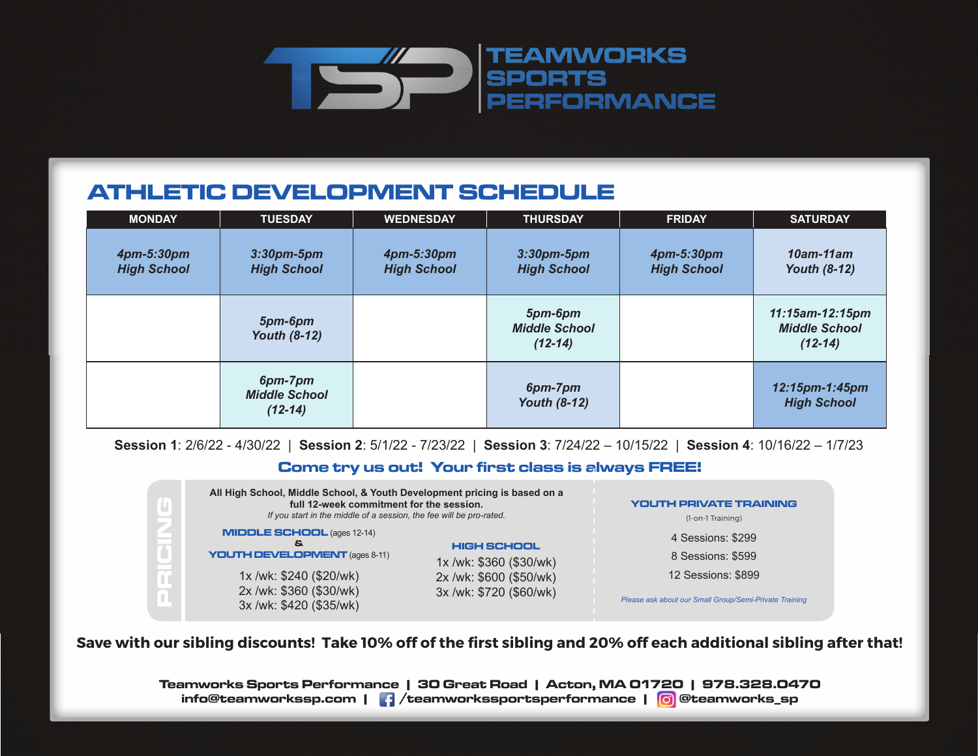

## **ATHLETIC DEVELOPMENT SCHEDULE**

| <b>MONDAY</b>                    | <b>TUESDAY</b>                               | <b>WEDNESDAY</b>                 | <b>THURSDAY</b>                              | <b>FRIDAY</b>                    | <b>SATURDAY</b>                                      |
|----------------------------------|----------------------------------------------|----------------------------------|----------------------------------------------|----------------------------------|------------------------------------------------------|
| 4pm-5:30pm<br><b>High School</b> | $3:30$ pm-5pm<br><b>High School</b>          | 4pm-5:30pm<br><b>High School</b> | $3:30$ pm- $5$ pm<br><b>High School</b>      | 4pm-5:30pm<br><b>High School</b> | $10$ am-11am<br><b>Youth (8-12)</b>                  |
|                                  | 5pm-6pm<br><b>Youth (8-12)</b>               |                                  | 5pm-6pm<br><b>Middle School</b><br>$(12-14)$ |                                  | 11:15am-12:15pm<br><b>Middle School</b><br>$(12-14)$ |
|                                  | 6pm-7pm<br><b>Middle School</b><br>$(12-14)$ |                                  | 6pm-7pm<br><b>Youth (8-12)</b>               |                                  | 12:15pm-1:45pm<br><b>High School</b>                 |

**Session 1**: 2/6/22 - 4/30/22 | **Session 2**: 5/1/22 - 7/23/22 | **Session 3**: 7/24/22 – 10/15/22 | **Session 4**: 10/16/22 – 1/7/23

## **Come try us out! Your first class is always FREE!**

| All High School, Middle School, & Youth Development pricing is based on a<br>full 12-week commitment for the session.<br>If you start in the middle of a session, the fee will be pro-rated. | <b>YOUTH PRIVATE TRAINING</b><br>(1-on-1 Training)                                                  |                                                                                                                        |
|----------------------------------------------------------------------------------------------------------------------------------------------------------------------------------------------|-----------------------------------------------------------------------------------------------------|------------------------------------------------------------------------------------------------------------------------|
| <b>MIDDLE SCHOOL (ages 12-14)</b><br>S.<br><b>YOUTH DEVELOPMENT</b> (ages 8-11)<br>1x/wk: \$240 (\$20/wk)<br>2x /wk: \$360 (\$30/wk)<br>3x /wk: \$420 (\$35/wk)                              | <b>HIGH SCHOOL</b><br>1x /wk: \$360 (\$30/wk)<br>2x /wk: \$600 (\$50/wk)<br>3x /wk: \$720 (\$60/wk) | 4 Sessions: \$299<br>8 Sessions: \$599<br>12 Sessions: \$899<br>Please ask about our Small Group/Semi-Private Training |

**Save with our sibling discounts! Take 10% off of the first sibling and 20% off each additional sibling after that!**

**Teamworks Sports Performance | 30 Great Road | Acton, MA 01720 | 978.328.0470 info@teamworkssp.com | /teamworkssportsperformance | @teamworks\_sp**